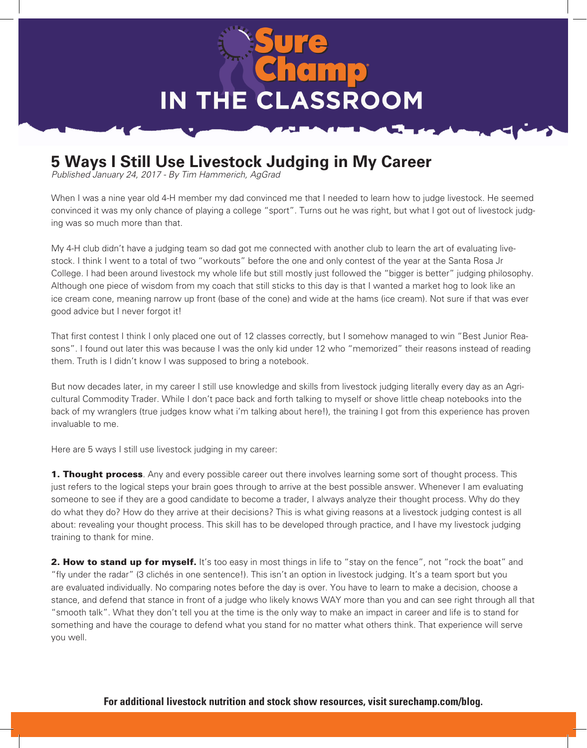

## **5 Ways I Still Use Livestock Judging in My Career**

*Published January 24, 2017 - By Tim Hammerich, AgGrad*

When I was a nine year old 4-H member my dad convinced me that I needed to learn how to judge livestock. He seemed convinced it was my only chance of playing a college "sport". Turns out he was right, but what I got out of livestock judging was so much more than that.

My 4-H club didn't have a judging team so dad got me connected with another club to learn the art of evaluating livestock. I think I went to a total of two "workouts" before the one and only contest of the year at the Santa Rosa Jr College. I had been around livestock my whole life but still mostly just followed the "bigger is better" judging philosophy. Although one piece of wisdom from my coach that still sticks to this day is that I wanted a market hog to look like an ice cream cone, meaning narrow up front (base of the cone) and wide at the hams (ice cream). Not sure if that was ever good advice but I never forgot it!

That first contest I think I only placed one out of 12 classes correctly, but I somehow managed to win "Best Junior Reasons". I found out later this was because I was the only kid under 12 who "memorized" their reasons instead of reading them. Truth is I didn't know I was supposed to bring a notebook.

But now decades later, in my career I still use knowledge and skills from livestock judging literally every day as an Agricultural Commodity Trader. While I don't pace back and forth talking to myself or shove little cheap notebooks into the back of my wranglers (true judges know what i'm talking about here!), the training I got from this experience has proven invaluable to me.

Here are 5 ways I still use livestock judging in my career:

**1. Thought process**. Any and every possible career out there involves learning some sort of thought process. This just refers to the logical steps your brain goes through to arrive at the best possible answer. Whenever I am evaluating someone to see if they are a good candidate to become a trader, I always analyze their thought process. Why do they do what they do? How do they arrive at their decisions? This is what giving reasons at a livestock judging contest is all about: revealing your thought process. This skill has to be developed through practice, and I have my livestock judging training to thank for mine.

2. How to stand up for myself. It's too easy in most things in life to "stay on the fence", not "rock the boat" and "fly under the radar" (3 clichés in one sentence!). This isn't an option in livestock judging. It's a team sport but you are evaluated individually. No comparing notes before the day is over. You have to learn to make a decision, choose a stance, and defend that stance in front of a judge who likely knows WAY more than you and can see right through all that "smooth talk". What they don't tell you at the time is the only way to make an impact in career and life is to stand for something and have the courage to defend what you stand for no matter what others think. That experience will serve you well.

**For additional livestock nutrition and stock show resources, visit surechamp.com/blog.**